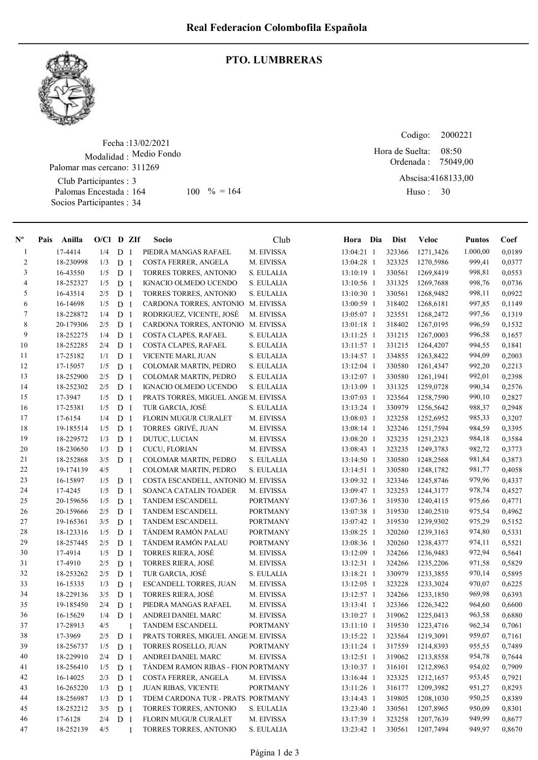

## PTO. LUMBRERAS

Fecha : 13/02/2021 Modalidad : Medio Fondo Club Participantes : 3 Palomas Encestada : Socios Participantes : 34 Palomar mas cercano: 311269 164 100 % = 164 Huso: 30

Codigo: Ordenada : 75049,00 Abscisa: 4168133,00 Huso: 30 08:50 Hora de Suelta:

| $N^{\circ}$    | Pais | Anilla    | $O/Cl$ D ZIf |                |                | Socio                                | Club            | Hora Dia     | <b>Dist</b> | <b>Veloc</b> | <b>Puntos</b> | Coef   |
|----------------|------|-----------|--------------|----------------|----------------|--------------------------------------|-----------------|--------------|-------------|--------------|---------------|--------|
| $\mathbf{1}$   |      | 17-4414   | 1/4          | D <sub>1</sub> |                | PIEDRA MANGAS RAFAEL                 | M. EIVISSA      | 13:04:21 1   | 323366      | 1271,3426    | 1.000,00      | 0,0189 |
| $\overline{2}$ |      | 18-230998 | 1/3          | D <sub>1</sub> |                | COSTA FERRER, ANGELA                 | M. EIVISSA      | 13:04:28 1   | 323325      | 1270,5986    | 999,41        | 0,0377 |
| 3              |      | 16-43550  | 1/5          | D <sub>1</sub> |                | TORRES TORRES, ANTONIO               | S. EULALIA      | 13:10:19 1   | 330561      | 1269,8419    | 998,81        | 0,0553 |
| 4              |      | 18-252327 | 1/5          | D <sub>1</sub> |                | <b>IGNACIO OLMEDO UCENDO</b>         | S. EULALIA      | 13:10:56 1   | 331325      | 1269,7688    | 998,76        | 0,0736 |
| 5              |      | 16-43514  | 2/5          | D              | -1             | TORRES TORRES, ANTONIO               | S. EULALIA      | 13:10:30 1   | 330561      | 1268,9482    | 998,11        | 0,0922 |
| 6              |      | 16-14698  | 1/5          | D              | 1              | CARDONA TORRES, ANTONIO M. EIVISSA   |                 | 13:00:59 1   | 318402      | 1268,6181    | 997,85        | 0,1149 |
| $\tau$         |      | 18-228872 | 1/4          | D <sub>1</sub> |                | RODRIGUEZ, VICENTE, JOSÉ             | M. EIVISSA      | 13:05:07 1   | 323551      | 1268,2472    | 997,56        | 0,1319 |
| 8              |      | 20-179306 | 2/5          | D <sub>1</sub> |                | CARDONA TORRES, ANTONIO M. EIVISSA   |                 | 13:01:18 1   | 318402      | 1267,0195    | 996,59        | 0,1532 |
| 9              |      | 18-252275 | 1/4          | D <sub>1</sub> |                | COSTA CLAPES, RAFAEL                 | S. EULALIA      | 13:11:25 1   | 331215      | 1267,0003    | 996,58        | 0,1657 |
| 10             |      | 18-252285 | 2/4          | D <sub>1</sub> |                | COSTA CLAPES, RAFAEL                 | S. EULALIA      | 13:11:57 1   | 331215      | 1264,4207    | 994,55        | 0,1841 |
| 11             |      | 17-25182  | 1/1          | D              | -1             | VICENTE MARI, JUAN                   | S. EULALIA      | 13:14:57 1   | 334855      | 1263,8422    | 994,09        | 0,2003 |
| 12             |      | 17-15057  | 1/5          | D              | -1             | COLOMAR MARTIN, PEDRO                | S. EULALIA      | 13:12:04 1   | 330580      | 1261,4347    | 992,20        | 0,2213 |
| 13             |      | 18-252900 | 2/5          | D <sub>1</sub> |                | COLOMAR MARTIN, PEDRO                | S. EULALIA      | 13:12:07 1   | 330580      | 1261,1941    | 992,01        | 0,2398 |
| 14             |      | 18-252302 | 2/5          | D <sub>1</sub> |                | <b>IGNACIO OLMEDO UCENDO</b>         | S. EULALIA      | 13:13:09 1   | 331325      | 1259,0728    | 990,34        | 0,2576 |
| 15             |      | 17-3947   | 1/5          | D <sub>1</sub> |                | PRATS TORRES, MIGUEL ANGE M. EIVISSA |                 | 13:07:03 1   | 323564      | 1258,7590    | 990,10        | 0,2827 |
| 16             |      | 17-25381  | 1/5          | D <sub>1</sub> |                | TUR GARCIA, JOSÉ                     | S. EULALIA      | 13:13:24 1   | 330979      | 1256,5642    | 988,37        | 0,2948 |
| 17             |      | 17-6154   | 1/4          | D <sub>1</sub> |                | FLORIN MUGUR CURALET                 | M. EIVISSA      | 13:08:03 1   | 323258      | 1252,6952    | 985,33        | 0,3207 |
| $18\,$         |      | 19-185514 | 1/5          | D              | 1              | TORRES GRIVÉ, JUAN                   | M. EIVISSA      | 13:08:14 1   | 323246      | 1251,7594    | 984,59        | 0,3395 |
| 19             |      | 18-229572 | 1/3          | D              | -1             | DUTUC, LUCIAN                        | M. EIVISSA      | 13:08:20 1   | 323235      | 1251,2323    | 984,18        | 0,3584 |
| 20             |      | 18-230650 | 1/3          | D              | -1             | CUCU, FLORIAN                        | M. EIVISSA      | 13:08:43 1   | 323235      | 1249,3783    | 982,72        | 0,3773 |
| 21             |      | 18-252868 | 3/5          | D <sub>1</sub> |                | COLOMAR MARTIN, PEDRO                | S. EULALIA      | 13:14:50 1   | 330580      | 1248,2568    | 981,84        | 0,3873 |
| 22             |      | 19-174139 | 4/5          |                | 1              | COLOMAR MARTIN, PEDRO                | S. EULALIA      | 13:14:51 1   | 330580      | 1248,1782    | 981,77        | 0,4058 |
| 23             |      | 16-15897  | 1/5          | D              | 1              | COSTA ESCANDELL, ANTONIO M. EIVISSA  |                 | 13:09:32 1   | 323346      | 1245,8746    | 979,96        | 0,4337 |
| 24             |      | 17-4245   | 1/5          | D              | $\mathbf{1}$   | SOANCA CATALIN TOADER                | M. EIVISSA      | 13:09:47 1   | 323253      | 1244,3177    | 978,74        | 0,4527 |
| 25             |      | 20-159656 | 1/5          | D <sub>1</sub> |                | <b>TANDEM ESCANDELL</b>              | <b>PORTMANY</b> | 13:07:36 1   | 319530      | 1240,4115    | 975,66        | 0,4771 |
| 26             |      | 20-159666 | 2/5          | D <sub>1</sub> |                | TANDEM ESCANDELL                     | <b>PORTMANY</b> | 13:07:38 1   | 319530      | 1240,2510    | 975,54        | 0,4962 |
| 27             |      | 19-165361 | 3/5          | D <sub>1</sub> |                | <b>TANDEM ESCANDELL</b>              | <b>PORTMANY</b> | 13:07:42 1   | 319530      | 1239,9302    | 975,29        | 0,5152 |
| 28             |      | 18-123316 | 1/5          | D <sub>1</sub> |                | TÁNDEM RAMÓN PALAU                   | <b>PORTMANY</b> | 13:08:25 1   | 320260      | 1239,3163    | 974,80        | 0,5331 |
| 29             |      | 18-257445 | 2/5          | D <sub>1</sub> |                | TÁNDEM RAMÓN PALAU                   | <b>PORTMANY</b> | 13:08:36 1   | 320260      | 1238,4377    | 974,11        | 0,5521 |
| 30             |      | 17-4914   | 1/5          | D              | 1              | TORRES RIERA, JOSÉ                   | M. EIVISSA      | 13:12:09 1   | 324266      | 1236,9483    | 972,94        | 0,5641 |
| 31             |      | 17-4910   | 2/5          | D              | 1              | TORRES RIERA, JOSÉ                   | M. EIVISSA      | 13:12:31 1   | 324266      | 1235,2206    | 971,58        | 0,5829 |
| 32             |      | 18-253262 | 2/5          | D <sub>1</sub> |                | TUR GARCIA, JOSÉ                     | S. EULALIA      | 13:18:21 1   | 330979      | 1233,3855    | 970,14        | 0,5895 |
| 33             |      | 16-15335  | 1/3          | D <sub>1</sub> |                | ESCANDELL TORRES, JUAN               | M. EIVISSA      | 13:12:05 1   | 323228      | 1233,3024    | 970,07        | 0,6225 |
| 34             |      | 18-229136 | 3/5          | D <sub>1</sub> |                | <b>TORRES RIERA, JOSÉ</b>            | M. EIVISSA      | 13:12:57 1   | 324266      | 1233,1850    | 969,98        | 0,6393 |
| 35             |      | 19-185450 | 2/4          | D <sub>1</sub> |                | PIEDRA MANGAS RAFAEL                 | M. EIVISSA      | 13:13:41 1   | 323366      | 1226,3422    | 964,60        | 0,6600 |
| 36             |      | 16-15629  | 1/4          | D              | $\overline{1}$ | ANDREI DANIEL MARC                   | M. EIVISSA      | 13:10:27 1   | 319062      | 1225.0413    | 963,58        | 0,6880 |
| 37             |      | 17-28913  | 4/5          |                | 1              | <b>TANDEM ESCANDELL</b>              | <b>PORTMANY</b> | $13:11:10$ 1 | 319530      | 1223,4716    | 962,34        | 0,7061 |
| 38             |      | 17-3969   | $2/5$        | $D_1$          |                | PRATS TORRES, MIGUEL ANGE M. EIVISSA |                 | 13:15:22 1   | 323564      | 1219,3091    | 959,07        | 0,7161 |
| 39             |      | 18-256737 | 1/5          | D <sub>1</sub> |                | TORRES ROSELLO, JUAN                 | <b>PORTMANY</b> | 13:11:24 1   | 317559      | 1214,8393    | 955,55        | 0,7489 |
| 40             |      | 18-229910 | 2/4          | D <sub>1</sub> |                | ANDREI DANIEL MARC                   | M. EIVISSA      | 13:12:51 1   | 319062      | 1213,8558    | 954,78        | 0,7644 |
| 41             |      | 18-256410 | 1/5          | $D_1$          |                | TÁNDEM RAMON RIBAS - FION PORTMANY   |                 | 13:10:37 1   | 316101      | 1212,8963    | 954,02        | 0,7909 |
| 42             |      | 16-14025  | 2/3          | D <sub>1</sub> |                | COSTA FERRER, ANGELA                 | M. EIVISSA      | 13:16:44 1   | 323325      | 1212,1657    | 953,45        | 0,7921 |
| 43             |      | 16-265220 | 1/3          | D <sub>1</sub> |                | JUAN RIBAS, VICENTE                  | <b>PORTMANY</b> | 13:11:26 1   | 316177      | 1209,3982    | 951,27        | 0,8293 |
| 44             |      | 18-256987 | 1/3          | D <sub>1</sub> |                | TDEM CARDONA TUR - PRATS PORTMANY    |                 | 13:14:43 1   | 319805      | 1208,1030    | 950,25        | 0,8389 |
| 45             |      | 18-252212 | 3/5          | D <sub>1</sub> |                | TORRES TORRES, ANTONIO               | S. EULALIA      | 13:23:40 1   | 330561      | 1207,8965    | 950,09        | 0,8301 |
| 46             |      | 17-6128   | 2/4          | D <sub>1</sub> |                | <b>FLORIN MUGUR CURALET</b>          | M. EIVISSA      | 13:17:39 1   | 323258      | 1207,7639    | 949,99        | 0,8677 |
| 47             |      | 18-252139 | 4/5          |                | 1              | TORRES TORRES, ANTONIO               | S. EULALIA      | 13:23:42 1   | 330561      | 1207,7494    | 949,97        | 0,8670 |
|                |      |           |              |                |                |                                      |                 |              |             |              |               |        |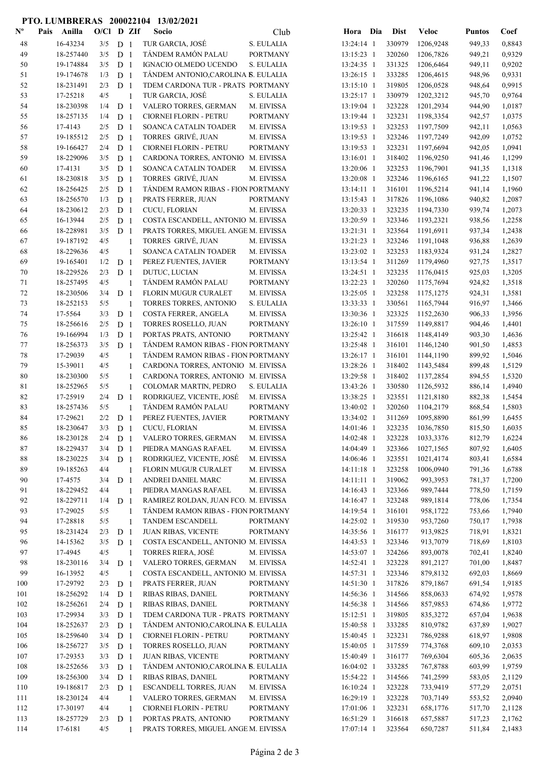## PTO. LUMBRERAS 200022104 13/02/2021

| $\mathbf{N}^{\mathbf{o}}$ | Pais | Anilla               | $O/C1$ D ZIf |                |                | Socio                                      | Club                     | Hora Dia                   | <b>Dist</b>      | <b>Veloc</b>         | <b>Puntos</b>    | Coef             |
|---------------------------|------|----------------------|--------------|----------------|----------------|--------------------------------------------|--------------------------|----------------------------|------------------|----------------------|------------------|------------------|
| 48                        |      | 16-43234             | 3/5          | D <sub>1</sub> |                | TUR GARCIA, JOSÉ                           | S. EULALIA               | 13:24:14 1                 | 330979           | 1206,9248            | 949,33           | 0,8843           |
| 49                        |      | 18-257440            | 3/5          | D <sub>1</sub> |                | TÁNDEM RAMÓN PALAU                         | <b>PORTMANY</b>          | 13:15:23 1                 | 320260           | 1206,7826            | 949,21           | 0,9329           |
| 50                        |      | 19-174884            | 3/5          | D <sub>1</sub> |                | IGNACIO OLMEDO UCENDO                      | S. EULALIA               | 13:24:35 1                 | 331325           | 1206,6464            | 949,11           | 0,9202           |
| 51                        |      | 19-174678            | 1/3          | D <sub>1</sub> |                | TÁNDEM ANTONIO, CAROLINA B. EULALIA        |                          | 13:26:15 1                 | 333285           | 1206,4615            | 948,96           | 0,9331           |
| 52                        |      | 18-231491            | 2/3          | D <sub>1</sub> |                | TDEM CARDONA TUR - PRATS PORTMANY          |                          | 13:15:10 1                 | 319805           | 1206,0528            | 948,64           | 0,9915           |
| 53                        |      | 17-25218             | 4/5          |                | $\overline{1}$ | TUR GARCIA, JOSÉ                           | S. EULALIA               | 13:25:17 1                 | 330979           | 1202,3212            | 945,70           | 0,9764           |
| 54                        |      | 18-230398            | 1/4          | D <sub>1</sub> |                | VALERO TORRES, GERMAN                      | M. EIVISSA               | 13:19:04 1                 | 323228           | 1201,2934            | 944,90           | 1,0187           |
| 55                        |      | 18-257135            | 1/4          | D <sub>1</sub> |                | CIORNEI FLORIN - PETRU                     | <b>PORTMANY</b>          | 13:19:44 1                 | 323231           | 1198,3354            | 942,57           | 1,0375           |
| 56                        |      | 17-4143              | 2/5          | D <sub>1</sub> |                | SOANCA CATALIN TOADER                      | M. EIVISSA               | 13:19:53 1                 | 323253           | 1197,7509            | 942,11           | 1,0563           |
| 57                        |      | 19-185512            | 2/5          | D <sub>1</sub> |                | TORRES GRIVÉ, JUAN                         | M. EIVISSA               | 13:19:53 1                 | 323246           | 1197,7249            | 942,09           | 1,0752           |
| 58                        |      | 19-166427            | 2/4          | D <sub>1</sub> |                | CIORNEI FLORIN - PETRU                     | <b>PORTMANY</b>          | 13:19:53 1                 | 323231           | 1197,6694            | 942,05           | 1,0941           |
| 59                        |      | 18-229096            | 3/5          | D <sub>1</sub> |                | CARDONA TORRES, ANTONIO M. EIVISSA         |                          | 13:16:01 1                 | 318402           | 1196,9250            | 941,46           | 1,1299           |
| 60                        |      | 17-4131              | 3/5          | D <sub>1</sub> |                | SOANCA CATALIN TOADER                      | M. EIVISSA               | 13:20:06 1                 | 323253           | 1196,7901            | 941,35           | 1,1318           |
| 61                        |      | 18-230818            | 3/5          | D <sub>1</sub> |                | TORRES GRIVÉ, JUAN                         | M. EIVISSA               | 13:20:08 1                 | 323246           | 1196,6165            | 941,22           | 1,1507           |
| 62                        |      | 18-256425            | 2/5          | D <sub>1</sub> |                | TÁNDEM RAMON RIBAS - FION PORTMANY         |                          | 13:14:11 1                 | 316101           | 1196,5214            | 941,14           | 1,1960           |
| 63                        |      | 18-256570            | 1/3          | D <sub>1</sub> |                | PRATS FERRER, JUAN                         | <b>PORTMANY</b>          | 13:15:43 1                 | 317826           | 1196,1086            | 940,82           | 1,2087           |
| 64                        |      | 18-230612            | 2/3          | D <sub>1</sub> |                | CUCU, FLORIAN                              | M. EIVISSA               | 13:20:33 1                 | 323235           | 1194,7330            | 939,74           | 1,2073           |
| 65                        |      | 16-13944             | 2/5          | D <sub>1</sub> |                | COSTA ESCANDELL, ANTONIO M. EIVISSA        |                          | 13:20:59 1                 | 323346           | 1193,2321            | 938,56           | 1,2258           |
| 66                        |      | 18-228981            | 3/5          | D <sub>1</sub> |                | PRATS TORRES, MIGUEL ANGE M. EIVISSA       |                          | 13:21:31 1                 | 323564           | 1191,6911            | 937,34           | 1,2438           |
| 67                        |      | 19-187192            | 4/5          |                | 1              | TORRES GRIVÉ, JUAN                         | M. EIVISSA               | 13:21:23 1                 | 323246           | 1191,1048            | 936,88           | 1,2639           |
| 68                        |      | 18-229636            | 4/5          |                | 1              | SOANCA CATALIN TOADER                      | M. EIVISSA               | 13:23:02 1                 | 323253           | 1183,9324            | 931,24           | 1,2827           |
| 69                        |      | 19-165401            | 1/2          | D <sub>1</sub> |                | PEREZ FUENTES, JAVIER                      | <b>PORTMANY</b>          | 13:13:54 1                 | 311269           | 1179,4960            | 927,75           | 1,3517           |
| 70                        |      | 18-229526            | 2/3          | D <sub>1</sub> |                | DUTUC, LUCIAN                              | M. EIVISSA               | 13:24:51 1                 | 323235           | 1176,0415            | 925,03           | 1,3205           |
| 71                        |      | 18-257495            | 4/5          |                | -1             | TÁNDEM RAMÓN PALAU                         | <b>PORTMANY</b>          | 13:22:23 1                 | 320260           | 1175,7694            | 924,82           | 1,3518           |
| 72                        |      | 18-230506            | 3/4          | D <sub>1</sub> |                | FLORIN MUGUR CURALET                       | M. EIVISSA               | 13:25:05 1                 | 323258           | 1175,1275            | 924,31           | 1,3581           |
| 73                        |      | 18-252153            | 5/5          |                | $\overline{1}$ | TORRES TORRES, ANTONIO                     | S. EULALIA               | 13:33:33 1                 | 330561           | 1165,7944            | 916,97           | 1,3466           |
| 74                        |      | 17-5564              | 3/3          | D <sub>1</sub> |                | COSTA FERRER, ANGELA                       | M. EIVISSA               | 13:30:36 1                 | 323325           | 1152,2630            | 906,33           | 1,3956           |
| 75                        |      | 18-256616            | 2/5          | D <sub>1</sub> |                | TORRES ROSELLO, JUAN                       | <b>PORTMANY</b>          | 13:26:10 1                 | 317559           | 1149,8817            | 904,46           | 1,4401           |
| 76                        |      | 19-166994            | 1/3          | D <sub>1</sub> |                | PORTAS PRATS, ANTONIO                      | <b>PORTMANY</b>          | 13:25:42 1                 | 316618           | 1148,4149            | 903,30           | 1,4636           |
| 77                        |      | 18-256373            | 3/5          | D <sub>1</sub> |                | TÁNDEM RAMON RIBAS - FION PORTMANY         |                          | 13:25:48 1                 | 316101           | 1146,1240            | 901,50           | 1,4853           |
| 78                        |      | 17-29039             | 4/5          |                | $\mathbf{1}$   | TÁNDEM RAMON RIBAS - FION PORTMANY         |                          | 13:26:17 1                 | 316101           | 1144,1190            | 899,92           | 1,5046           |
| 79                        |      | 15-39011             | 4/5          |                | 1              | CARDONA TORRES, ANTONIO M. EIVISSA         |                          | 13:28:26 1                 | 318402           | 1143,5484            | 899,48           | 1,5129           |
| 80                        |      | 18-230300            | 5/5          |                | 1              | CARDONA TORRES, ANTONIO M. EIVISSA         |                          | 13:29:58 1                 | 318402           | 1137,2854            | 894,55           | 1,5320           |
| 81                        |      | 18-252965            | 5/5          |                | 1              | COLOMAR MARTIN, PEDRO                      | S. EULALIA               | 13:43:26 1                 | 330580           | 1126,5932            | 886,14           | 1,4940           |
| 82                        |      | 17-25919             | 2/4          | D <sub>1</sub> |                | RODRIGUEZ, VICENTE, JOSÉ                   | M. EIVISSA               | 13:38:25 1                 | 323551           | 1121,8180            | 882,38           | 1,5454           |
| 83                        |      | 18-257436            | 5/5          |                | 1              | TÁNDEM RAMÓN PALAU                         | <b>PORTMANY</b>          | 13:40:02 1                 | 320260           | 1104,2179            | 868,54           | 1,5803           |
| 84                        |      | 17-29621             | 2/2          | D <sub>1</sub> |                | PEREZ FUENTES, JAVIER                      | <b>PORTMANY</b>          | 13:34:02 1                 | 311269           | 1095,8890            | 861,99           | 1,6455           |
| 85                        |      | 18-230647            | 3/3          | D <sub>1</sub> |                | CUCU, FLORIAN                              | M. EIVISSA               | 14:01:46 1                 | 323235           | 1036,7850            | 815,50           | 1,6035           |
| 86                        |      | 18-230128            | 2/4          | D <sub>1</sub> |                | VALERO TORRES, GERMAN                      | M. EIVISSA               | 14:02:48 1                 | 323228           | 1033,3376            | 812,79           | 1,6224           |
| 87                        |      | 18-229437            | 3/4          | D <sub>1</sub> |                | PIEDRA MANGAS RAFAEL                       | M. EIVISSA               | 14:04:49 1                 | 323366           | 1027,1565            | 807,92           | 1,6405           |
| 88                        |      | 18-230225            | 3/4          | D <sub>1</sub> |                | RODRIGUEZ, VICENTE, JOSÉ                   | M. EIVISSA               | 14:06:46 1                 | 323551           | 1021,4174            | 803,41           | 1,6584           |
| 89                        |      | 19-185263            | 4/4          |                | 1              | FLORIN MUGUR CURALET                       | M. EIVISSA               | 14:11:18 1                 | 323258           | 1006,0940            | 791,36           | 1,6788           |
| 90<br>91                  |      | 17-4575<br>18-229452 | 3/4<br>4/4   | D <sub>1</sub> | 1              | ANDREI DANIEL MARC<br>PIEDRA MANGAS RAFAEL | M. EIVISSA<br>M. EIVISSA | $14:11:11$ 1<br>14:16:43 1 | 319062<br>323366 | 993,3953<br>989,7444 | 781,37<br>778,50 | 1,7200<br>1,7159 |
| 92                        |      | 18-229711            | 1/4          | D <sub>1</sub> |                | RAMIREZ ROLDAN, JUAN FCO. M. EIVISSA       |                          | 14:16:47 1                 | 323248           | 989,1814             | 778,06           | 1,7354           |
| 93                        |      | 17-29025             | 5/5          |                | -1             | TÁNDEM RAMON RIBAS - FION PORTMANY         |                          | 14:19:54 1                 | 316101           | 958,1722             | 753,66           | 1,7940           |
| 94                        |      | 17-28818             | 5/5          |                |                | TANDEM ESCANDELL                           | <b>PORTMANY</b>          | 14:25:02 1                 | 319530           | 953,7260             | 750,17           | 1,7938           |
| 95                        |      | 18-231424            | 2/3          | D <sub>1</sub> |                | <b>JUAN RIBAS, VICENTE</b>                 | <b>PORTMANY</b>          | 14:35:56 1                 | 316177           | 913,9825             | 718,91           | 1,8321           |
| 96                        |      | 14-15362             | 3/5          | D <sub>1</sub> |                | COSTA ESCANDELL, ANTONIO M. EIVISSA        |                          | 14:43:53 1                 | 323346           | 913,7079             | 718,69           | 1,8103           |
| 97                        |      | 17-4945              | 4/5          |                | 1              | <b>TORRES RIERA, JOSÉ</b>                  | M. EIVISSA               | 14:53:07 1                 | 324266           | 893,0078             | 702,41           | 1,8240           |
| 98                        |      | 18-230116            | 3/4          | D <sub>1</sub> |                | VALERO TORRES, GERMAN                      | M. EIVISSA               | 14:52:41 1                 | 323228           | 891,2127             | 701,00           | 1,8487           |
| 99                        |      | 16-13952             | 4/5          |                | $\mathbf{1}$   | COSTA ESCANDELL, ANTONIO M. EIVISSA        |                          | 14:57:31 1                 | 323346           | 879,8132             | 692,03           | 1,8669           |
| 100                       |      | 17-29792             | 2/3          | D <sub>1</sub> |                | PRATS FERRER, JUAN                         | <b>PORTMANY</b>          | 14:51:30 1                 | 317826           | 879,1867             | 691,54           | 1,9185           |
| 101                       |      | 18-256292            | 1/4          | D <sub>1</sub> |                | RIBAS RIBAS, DANIEL                        | <b>PORTMANY</b>          | 14:56:36 1                 | 314566           | 858,0633             | 674,92           | 1,9578           |
| 102                       |      | 18-256261            | 2/4          | D <sub>1</sub> |                | RIBAS RIBAS, DANIEL                        | <b>PORTMANY</b>          | 14:56:38 1                 | 314566           | 857,9853             | 674,86           | 1,9772           |
| 103                       |      | 17-29934             | 3/3          | D <sub>1</sub> |                | TDEM CARDONA TUR - PRATS PORTMANY          |                          | 15:12:51 1                 | 319805           | 835,3272             | 657,04           | 1,9638           |
| 104                       |      | 18-252637            | 2/3          | D <sub>1</sub> |                | TÁNDEM ANTONIO, CAROLINA B. EULALIA        |                          | 15:40:58 1                 | 333285           | 810,9782             | 637,89           | 1,9027           |
| 105                       |      | 18-259640            | 3/4          | D <sub>1</sub> |                | CIORNEI FLORIN - PETRU                     | <b>PORTMANY</b>          | 15:40:45 1                 | 323231           | 786,9288             | 618,97           | 1,9808           |
| 106                       |      | 18-256727            | 3/5          | D <sub>1</sub> |                | TORRES ROSELLO, JUAN                       | <b>PORTMANY</b>          | 15:40:05 1                 | 317559           | 774,3768             | 609,10           | 2,0353           |
| 107                       |      | 17-29353             | 3/3          | D <sub>1</sub> |                | <b>JUAN RIBAS, VICENTE</b>                 | <b>PORTMANY</b>          | 15:40:49 1                 | 316177           | 769,6304             | 605,36           | 2,0635           |
| 108                       |      | 18-252656            | 3/3          | D <sub>1</sub> |                | TÁNDEM ANTONIO, CAROLINA B. EULALIA        |                          | 16:04:02 1                 | 333285           | 767,8788             | 603,99           | 1,9759           |
| 109                       |      | 18-256300            | 3/4          | D <sub>1</sub> |                | RIBAS RIBAS, DANIEL                        | <b>PORTMANY</b>          | 15:54:22 1                 | 314566           | 741,2599             | 583,05           | 2,1129           |
| 110                       |      | 19-186817            | 2/3          | D <sub>1</sub> |                | <b>ESCANDELL TORRES, JUAN</b>              | M. EIVISSA               | 16:10:24 1                 | 323228           | 733,9419             | 577,29           | 2,0751           |
| 111                       |      | 18-230124            | 4/4          |                | 1              | VALERO TORRES, GERMAN                      | M. EIVISSA               | 16:29:19 1                 | 323228           | 703,7149             | 553,52           | 2,0940           |
| 112                       |      | 17-30197             | 4/4          |                | $\mathbf{1}$   | CIORNEI FLORIN - PETRU                     | <b>PORTMANY</b>          | 17:01:06 1                 | 323231           | 658,1776             | 517,70           | 2,1128           |
| 113                       |      | 18-257729            | 2/3          | D <sub>1</sub> |                | PORTAS PRATS, ANTONIO                      | <b>PORTMANY</b>          | 16:51:29 1                 | 316618           | 657,5887             | 517,23           | 2,1762           |
| 114                       |      | 17-6181              | 4/5          |                | $\mathbf{1}$   | PRATS TORRES, MIGUEL ANGE M. EIVISSA       |                          | 17:07:14 1                 | 323564           | 650,7287             | 511,84           | 2,1483           |